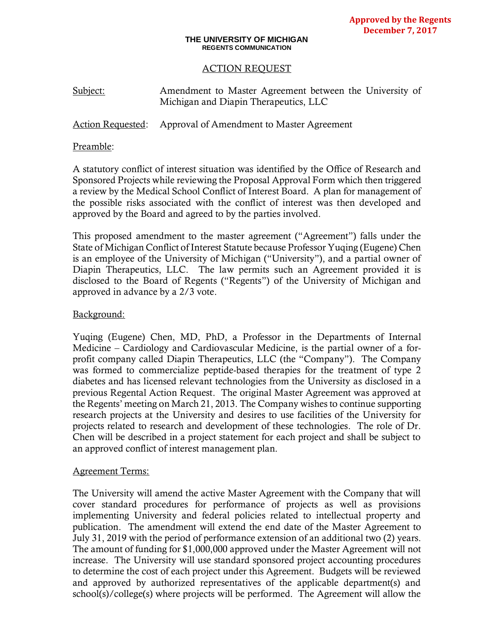#### **THE UNIVERSITY OF MICHIGAN REGENTS COMMUNICATION**

## ACTION REQUEST

| Subject: | Amendment to Master Agreement between the University of |  |  |  |
|----------|---------------------------------------------------------|--|--|--|
|          | Michigan and Diapin Therapeutics, LLC                   |  |  |  |

Action Requested: Approval of Amendment to Master Agreement

### Preamble:

A statutory conflict of interest situation was identified by the Office of Research and Sponsored Projects while reviewing the Proposal Approval Form which then triggered a review by the Medical School Conflict of Interest Board. A plan for management of the possible risks associated with the conflict of interest was then developed and approved by the Board and agreed to by the parties involved.

This proposed amendment to the master agreement ("Agreement") falls under the State of Michigan Conflict of Interest Statute because Professor Yuqing (Eugene) Chen is an employee of the University of Michigan ("University"), and a partial owner of Diapin Therapeutics, LLC. The law permits such an Agreement provided it is disclosed to the Board of Regents ("Regents") of the University of Michigan and approved in advance by a 2/3 vote.

## Background:

Yuqing (Eugene) Chen, MD, PhD, a Professor in the Departments of Internal Medicine – Cardiology and Cardiovascular Medicine, is the partial owner of a forprofit company called Diapin Therapeutics, LLC (the "Company"). The Company was formed to commercialize peptide-based therapies for the treatment of type 2 diabetes and has licensed relevant technologies from the University as disclosed in a previous Regental Action Request. The original Master Agreement was approved at the Regents' meeting on March 21, 2013. The Company wishes to continue supporting research projects at the University and desires to use facilities of the University for projects related to research and development of these technologies. The role of Dr. Chen will be described in a project statement for each project and shall be subject to an approved conflict of interest management plan.

#### Agreement Terms:

The University will amend the active Master Agreement with the Company that will cover standard procedures for performance of projects as well as provisions implementing University and federal policies related to intellectual property and publication. The amendment will extend the end date of the Master Agreement to July 31, 2019 with the period of performance extension of an additional two (2) years. The amount of funding for \$1,000,000 approved under the Master Agreement will not increase. The University will use standard sponsored project accounting procedures to determine the cost of each project under this Agreement. Budgets will be reviewed and approved by authorized representatives of the applicable department(s) and school(s)/college(s) where projects will be performed. The Agreement will allow the